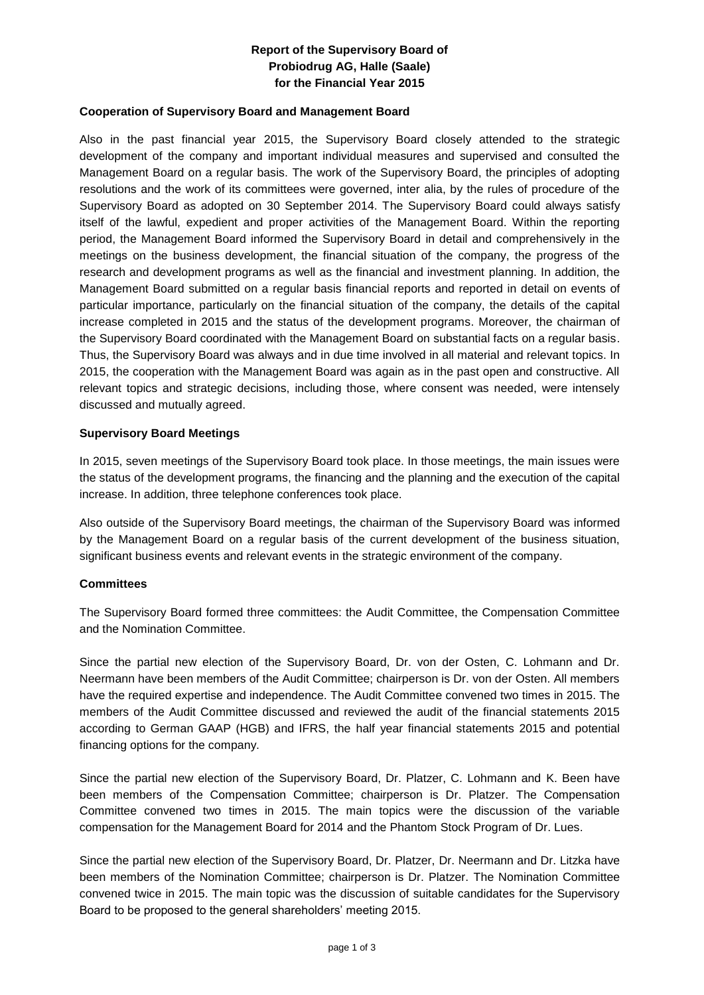# **Report of the Supervisory Board of Probiodrug AG, Halle (Saale) for the Financial Year 2015**

## **Cooperation of Supervisory Board and Management Board**

Also in the past financial year 2015, the Supervisory Board closely attended to the strategic development of the company and important individual measures and supervised and consulted the Management Board on a regular basis. The work of the Supervisory Board, the principles of adopting resolutions and the work of its committees were governed, inter alia, by the rules of procedure of the Supervisory Board as adopted on 30 September 2014. The Supervisory Board could always satisfy itself of the lawful, expedient and proper activities of the Management Board. Within the reporting period, the Management Board informed the Supervisory Board in detail and comprehensively in the meetings on the business development, the financial situation of the company, the progress of the research and development programs as well as the financial and investment planning. In addition, the Management Board submitted on a regular basis financial reports and reported in detail on events of particular importance, particularly on the financial situation of the company, the details of the capital increase completed in 2015 and the status of the development programs. Moreover, the chairman of the Supervisory Board coordinated with the Management Board on substantial facts on a regular basis. Thus, the Supervisory Board was always and in due time involved in all material and relevant topics. In 2015, the cooperation with the Management Board was again as in the past open and constructive. All relevant topics and strategic decisions, including those, where consent was needed, were intensely discussed and mutually agreed.

### **Supervisory Board Meetings**

In 2015, seven meetings of the Supervisory Board took place. In those meetings, the main issues were the status of the development programs, the financing and the planning and the execution of the capital increase. In addition, three telephone conferences took place.

Also outside of the Supervisory Board meetings, the chairman of the Supervisory Board was informed by the Management Board on a regular basis of the current development of the business situation, significant business events and relevant events in the strategic environment of the company.

#### **Committees**

The Supervisory Board formed three committees: the Audit Committee, the Compensation Committee and the Nomination Committee.

Since the partial new election of the Supervisory Board, Dr. von der Osten, C. Lohmann and Dr. Neermann have been members of the Audit Committee; chairperson is Dr. von der Osten. All members have the required expertise and independence. The Audit Committee convened two times in 2015. The members of the Audit Committee discussed and reviewed the audit of the financial statements 2015 according to German GAAP (HGB) and IFRS, the half year financial statements 2015 and potential financing options for the company.

Since the partial new election of the Supervisory Board, Dr. Platzer, C. Lohmann and K. Been have been members of the Compensation Committee; chairperson is Dr. Platzer. The Compensation Committee convened two times in 2015. The main topics were the discussion of the variable compensation for the Management Board for 2014 and the Phantom Stock Program of Dr. Lues.

Since the partial new election of the Supervisory Board, Dr. Platzer, Dr. Neermann and Dr. Litzka have been members of the Nomination Committee; chairperson is Dr. Platzer. The Nomination Committee convened twice in 2015. The main topic was the discussion of suitable candidates for the Supervisory Board to be proposed to the general shareholders' meeting 2015.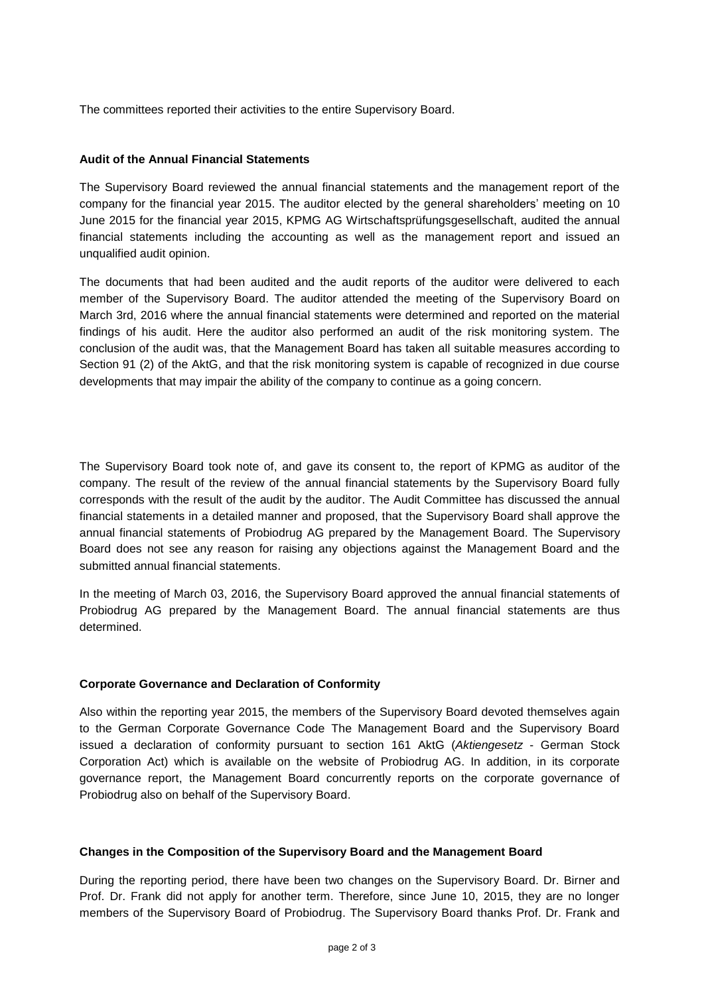The committees reported their activities to the entire Supervisory Board.

## **Audit of the Annual Financial Statements**

The Supervisory Board reviewed the annual financial statements and the management report of the company for the financial year 2015. The auditor elected by the general shareholders' meeting on 10 June 2015 for the financial year 2015, KPMG AG Wirtschaftsprüfungsgesellschaft, audited the annual financial statements including the accounting as well as the management report and issued an unqualified audit opinion.

The documents that had been audited and the audit reports of the auditor were delivered to each member of the Supervisory Board. The auditor attended the meeting of the Supervisory Board on March 3rd, 2016 where the annual financial statements were determined and reported on the material findings of his audit. Here the auditor also performed an audit of the risk monitoring system. The conclusion of the audit was, that the Management Board has taken all suitable measures according to Section 91 (2) of the AktG, and that the risk monitoring system is capable of recognized in due course developments that may impair the ability of the company to continue as a going concern.

The Supervisory Board took note of, and gave its consent to, the report of KPMG as auditor of the company. The result of the review of the annual financial statements by the Supervisory Board fully corresponds with the result of the audit by the auditor. The Audit Committee has discussed the annual financial statements in a detailed manner and proposed, that the Supervisory Board shall approve the annual financial statements of Probiodrug AG prepared by the Management Board. The Supervisory Board does not see any reason for raising any objections against the Management Board and the submitted annual financial statements.

In the meeting of March 03, 2016, the Supervisory Board approved the annual financial statements of Probiodrug AG prepared by the Management Board. The annual financial statements are thus determined.

#### **Corporate Governance and Declaration of Conformity**

Also within the reporting year 2015, the members of the Supervisory Board devoted themselves again to the German Corporate Governance Code The Management Board and the Supervisory Board issued a declaration of conformity pursuant to section 161 AktG (*Aktiengesetz* - German Stock Corporation Act) which is available on the website of Probiodrug AG. In addition, in its corporate governance report, the Management Board concurrently reports on the corporate governance of Probiodrug also on behalf of the Supervisory Board.

#### **Changes in the Composition of the Supervisory Board and the Management Board**

During the reporting period, there have been two changes on the Supervisory Board. Dr. Birner and Prof. Dr. Frank did not apply for another term. Therefore, since June 10, 2015, they are no longer members of the Supervisory Board of Probiodrug. The Supervisory Board thanks Prof. Dr. Frank and